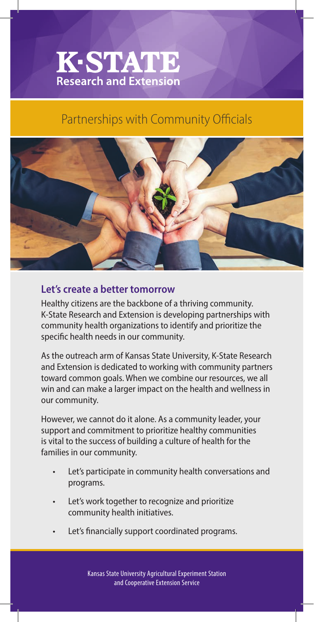## **K-STATE**<br>Research and Extension

## Partnerships with Community Officials



## **Let's create a better tomorrow**

Healthy citizens are the backbone of a thriving community. K-State Research and Extension is developing partnerships with community health organizations to identify and prioritize the specific health needs in our community.

As the outreach arm of Kansas State University, K-State Research and Extension is dedicated to working with community partners toward common goals. When we combine our resources, we all win and can make a larger impact on the health and wellness in our community.

However, we cannot do it alone. As a community leader, your support and commitment to prioritize healthy communities is vital to the success of building a culture of health for the families in our community.

- Let's participate in community health conversations and programs.
- Let's work together to recognize and prioritize community health initiatives.
- Let's financially support coordinated programs.